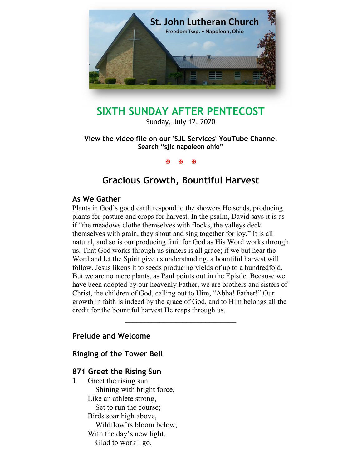

# SIXTH SUNDAY AFTER PENTECOST

Sunday, July 12, 2020

View the video file on our 'SJL Services' YouTube Channel Search "sjlc napoleon ohio"

**K K K** 

# Gracious Growth, Bountiful Harvest

### As We Gather

Plants in God's good earth respond to the showers He sends, producing plants for pasture and crops for harvest. In the psalm, David says it is as if "the meadows clothe themselves with flocks, the valleys deck themselves with grain, they shout and sing together for joy." It is all natural, and so is our producing fruit for God as His Word works through us. That God works through us sinners is all grace; if we but hear the Word and let the Spirit give us understanding, a bountiful harvest will follow. Jesus likens it to seeds producing yields of up to a hundredfold. But we are no mere plants, as Paul points out in the Epistle. Because we have been adopted by our heavenly Father, we are brothers and sisters of Christ, the children of God, calling out to Him, "Abba! Father!" Our growth in faith is indeed by the grace of God, and to Him belongs all the credit for the bountiful harvest He reaps through us.

# Prelude and Welcome

Ringing of the Tower Bell

# 871 Greet the Rising Sun

1 Greet the rising sun, Shining with bright force, Like an athlete strong, Set to run the course; Birds soar high above, Wildflow'rs bloom below; With the day's new light, Glad to work I go.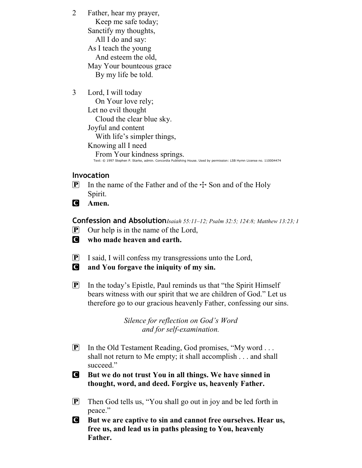- 2 Father, hear my prayer, Keep me safe today; Sanctify my thoughts, All I do and say: As I teach the young And esteem the old, May Your bounteous grace By my life be told.
- 3 Lord, I will today

 On Your love rely; Let no evil thought Cloud the clear blue sky. Joyful and content With life's simpler things, Knowing all I need From Your kindness springs. Text: © 1997 Stephen P. Starke, admin. Concordia Publishing House. Used by permission: LSB Hymn License no. 110004474

# Invocation

- **P** In the name of the Father and of the  $\pm$  Son and of the Holy Spirit.
- C Amen.

Confession and Absolution Isaiah 55:11-12; Psalm 32:5; 124:8; Matthew 13:23; 1

- $[P]$  Our help is in the name of the Lord,
- C who made heaven and earth.
- P I said, I will confess my transgressions unto the Lord,
- C and You forgave the iniquity of my sin.
- $\mathbf{P}$  In the today's Epistle, Paul reminds us that "the Spirit Himself" bears witness with our spirit that we are children of God." Let us therefore go to our gracious heavenly Father, confessing our sins.

Silence for reflection on God's Word and for self-examination.

- **P** In the Old Testament Reading, God promises, "My word ... shall not return to Me empty; it shall accomplish . . . and shall succeed."
- C But we do not trust You in all things. We have sinned in thought, word, and deed. Forgive us, heavenly Father.
- P Then God tells us, "You shall go out in joy and be led forth in peace."
- C But we are captive to sin and cannot free ourselves. Hear us, free us, and lead us in paths pleasing to You, heavenly Father.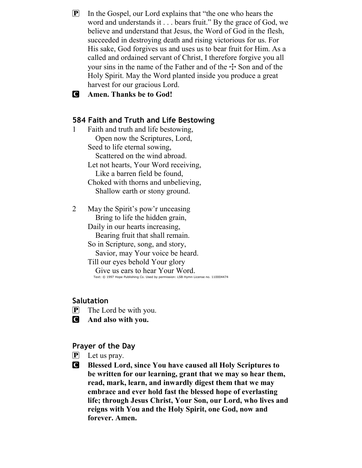$\mathbf{P}$  In the Gospel, our Lord explains that "the one who hears the word and understands it . . . bears fruit." By the grace of God, we believe and understand that Jesus, the Word of God in the flesh, succeeded in destroying death and rising victorious for us. For His sake, God forgives us and uses us to bear fruit for Him. As a called and ordained servant of Christ, I therefore forgive you all your sins in the name of the Father and of the  $\pm$  Son and of the Holy Spirit. May the Word planted inside you produce a great harvest for our gracious Lord.

C Amen. Thanks be to God!

### 584 Faith and Truth and Life Bestowing

- 1 Faith and truth and life bestowing, Open now the Scriptures, Lord, Seed to life eternal sowing, Scattered on the wind abroad. Let not hearts, Your Word receiving, Like a barren field be found, Choked with thorns and unbelieving, Shallow earth or stony ground.
- 2 May the Spirit's pow'r unceasing Bring to life the hidden grain, Daily in our hearts increasing, Bearing fruit that shall remain. So in Scripture, song, and story, Savior, may Your voice be heard. Till our eyes behold Your glory Give us ears to hear Your Word. Text: © 1997 Hope Publishing Co. Used by permission: LSB Hymn License no. 110004474

#### Salutation

- $\left[ \mathbf{P} \right]$  The Lord be with you.
- C And also with you.

#### Prayer of the Day

- $\left[ \mathbf{P} \right]$  Let us pray.
- C Blessed Lord, since You have caused all Holy Scriptures to be written for our learning, grant that we may so hear them, read, mark, learn, and inwardly digest them that we may embrace and ever hold fast the blessed hope of everlasting life; through Jesus Christ, Your Son, our Lord, who lives and reigns with You and the Holy Spirit, one God, now and forever. Amen.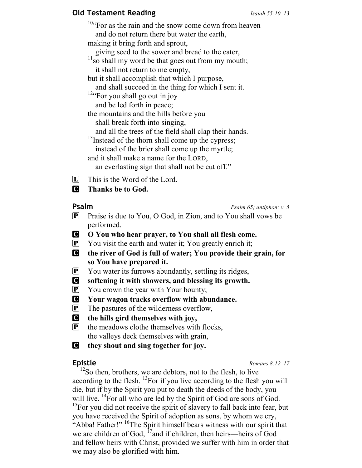# **Old Testament Reading Isaiah 55:10–13**

<sup>10</sup>"For as the rain and the snow come down from heaven and do not return there but water the earth, making it bring forth and sprout, giving seed to the sower and bread to the eater,  $11\frac{g}{11}$ so shall my word be that goes out from my mouth; it shall not return to me empty, but it shall accomplish that which I purpose, and shall succeed in the thing for which I sent it. <sup>12</sup>"For you shall go out in joy and be led forth in peace; the mountains and the hills before you shall break forth into singing, and all the trees of the field shall clap their hands. <sup>13</sup>Instead of the thorn shall come up the cypress; instead of the brier shall come up the myrtle; and it shall make a name for the LORD, an everlasting sign that shall not be cut off."  $\Box$  This is the Word of the Lord.

# **C** Thanks be to God.

**Psalm** Psalm 65; antiphon: v. 5

- **P** Praise is due to You, O God, in Zion, and to You shall vows be performed.
- C O You who hear prayer, to You shall all flesh come.
- $\mathbf{P}$  You visit the earth and water it; You greatly enrich it;
- C the river of God is full of water; You provide their grain, for so You have prepared it.
- $\mathbf{P}$  You water its furrows abundantly, settling its ridges,
- C softening it with showers, and blessing its growth.
- **P** You crown the year with Your bounty;
- C Your wagon tracks overflow with abundance.
- P The pastures of the wilderness overflow,
- C the hills gird themselves with joy,
- $\left[ \mathbf{P} \right]$  the meadows clothe themselves with flocks, the valleys deck themselves with grain,
- C they shout and sing together for joy.

**Epistle** Romans 8:12–17

 $12$ So then, brothers, we are debtors, not to the flesh, to live according to the flesh.  $^{13}$ For if you live according to the flesh you will die, but if by the Spirit you put to death the deeds of the body, you will live. <sup>14</sup>For all who are led by the Spirit of God are sons of God.  $15$ For you did not receive the spirit of slavery to fall back into fear, but you have received the Spirit of adoption as sons, by whom we cry, "Abba! Father!" <sup>16</sup>The Spirit himself bears witness with our spirit that we are children of God,  $^{17}$  and if children, then heirs—heirs of God and fellow heirs with Christ, provided we suffer with him in order that we may also be glorified with him.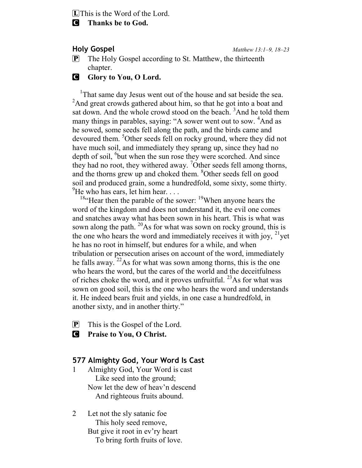**L** This is the Word of the Lord.

### C Thanks be to God.

Holy Gospel Matthew 13:1–9, 18–23

 $\mathbf{P}$  The Holy Gospel according to St. Matthew, the thirteenth chapter.

### **G** Glory to You, O Lord.

<sup>1</sup>That same day Jesus went out of the house and sat beside the sea. <sup>2</sup>And great crowds gathered about him, so that he got into a boat and sat down. And the whole crowd stood on the beach. <sup>3</sup>And he told them many things in parables, saying: "A sower went out to sow. <sup>4</sup>And as he sowed, some seeds fell along the path, and the birds came and devoured them. <sup>5</sup>Other seeds fell on rocky ground, where they did not have much soil, and immediately they sprang up, since they had no depth of soil, <sup>6</sup>but when the sun rose they were scorched. And since they had no root, they withered away. <sup>7</sup>Other seeds fell among thorns, and the thorns grew up and choked them. <sup>8</sup>Other seeds fell on good soil and produced grain, some a hundredfold, some sixty, some thirty.  $^{9}$ He who has ears, let him hear...

<sup>18</sup>"Hear then the parable of the sower: <sup>19</sup>When anyone hears the word of the kingdom and does not understand it, the evil one comes and snatches away what has been sown in his heart. This is what was sown along the path.  $^{20}$ As for what was sown on rocky ground, this is the one who hears the word and immediately receives it with joy,  $2^{1}$ yet he has no root in himself, but endures for a while, and when tribulation or persecution arises on account of the word, immediately he falls away.  $2^{2}$ As for what was sown among thorns, this is the one who hears the word, but the cares of the world and the deceitfulness of riches choke the word, and it proves unfruitful.  $^{23}$ As for what was sown on good soil, this is the one who hears the word and understands it. He indeed bears fruit and yields, in one case a hundredfold, in another sixty, and in another thirty."

- P This is the Gospel of the Lord.
- **C** Praise to You, O Christ.

### 577 Almighty God, Your Word Is Cast

- 1 Almighty God, Your Word is cast Like seed into the ground; Now let the dew of heav'n descend And righteous fruits abound.
- 2 Let not the sly satanic foe This holy seed remove, But give it root in ev'ry heart To bring forth fruits of love.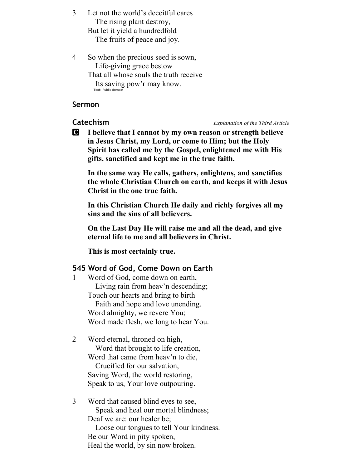3 Let not the world's deceitful cares The rising plant destroy, But let it yield a hundredfold The fruits of peace and joy.

4 So when the precious seed is sown, Life-giving grace bestow That all whose souls the truth receive Its saving pow'r may know. Text: Public domain

#### Sermon

#### Catechism Explanation of the Third Article

C I believe that I cannot by my own reason or strength believe in Jesus Christ, my Lord, or come to Him; but the Holy Spirit has called me by the Gospel, enlightened me with His gifts, sanctified and kept me in the true faith.

In the same way He calls, gathers, enlightens, and sanctifies the whole Christian Church on earth, and keeps it with Jesus Christ in the one true faith.

In this Christian Church He daily and richly forgives all my sins and the sins of all believers.

On the Last Day He will raise me and all the dead, and give eternal life to me and all believers in Christ.

This is most certainly true.

### 545 Word of God, Come Down on Earth

- 1 Word of God, come down on earth, Living rain from heav'n descending; Touch our hearts and bring to birth Faith and hope and love unending. Word almighty, we revere You; Word made flesh, we long to hear You.
- 2 Word eternal, throned on high, Word that brought to life creation, Word that came from heav'n to die, Crucified for our salvation, Saving Word, the world restoring, Speak to us, Your love outpouring.
- 3 Word that caused blind eyes to see, Speak and heal our mortal blindness; Deaf we are: our healer be; Loose our tongues to tell Your kindness. Be our Word in pity spoken, Heal the world, by sin now broken.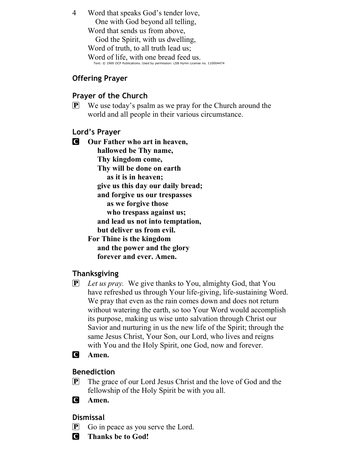4 Word that speaks God's tender love, One with God beyond all telling, Word that sends us from above, God the Spirit, with us dwelling, Word of truth, to all truth lead us; Word of life, with one bread feed us. Text: © 1969 OCP Publications. Used by permission: LSB Hymn License no. 110004474

# Offering Prayer

# Prayer of the Church

 $\mathbf{P}$  We use today's psalm as we pray for the Church around the world and all people in their various circumstance.

# Lord's Prayer

**C** Our Father who art in heaven, hallowed be Thy name, Thy kingdom come, Thy will be done on earth as it is in heaven; give us this day our daily bread; and forgive us our trespasses as we forgive those who trespass against us; and lead us not into temptation, but deliver us from evil. For Thine is the kingdom and the power and the glory forever and ever. Amen.

# Thanksgiving

- $\left[ \mathbf{P} \right]$  Let us pray. We give thanks to You, almighty God, that You have refreshed us through Your life-giving, life-sustaining Word. We pray that even as the rain comes down and does not return without watering the earth, so too Your Word would accomplish its purpose, making us wise unto salvation through Christ our Savior and nurturing in us the new life of the Spirit; through the same Jesus Christ, Your Son, our Lord, who lives and reigns with You and the Holy Spirit, one God, now and forever.
- **C** Amen.

# Benediction

- P The grace of our Lord Jesus Christ and the love of God and the fellowship of the Holy Spirit be with you all.
- **C** Amen.

# Dismissal

- $\mathbf{P}$  Go in peace as you serve the Lord.
- C Thanks be to God!